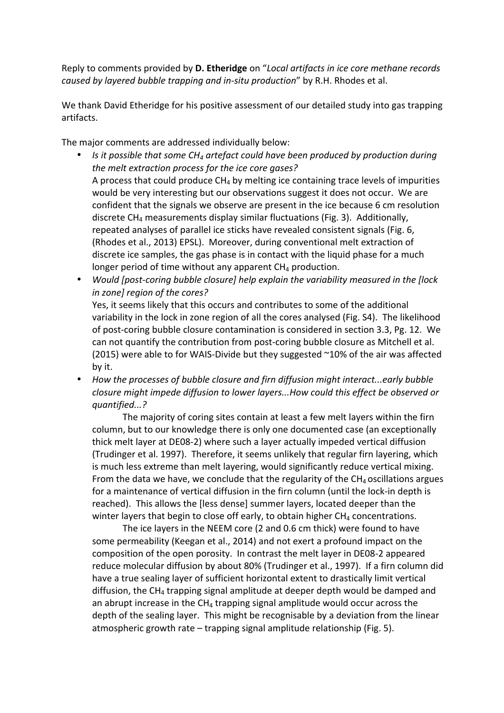Reply to comments provided by **D. Etheridge** on "*Local artifacts in ice core methane records caused by layered bubble trapping and in-situ production*" by R.H. Rhodes et al.

We thank David Etheridge for his positive assessment of our detailed study into gas trapping artifacts.

The major comments are addressed individually below:

- *Is* it possible that some CH<sub>4</sub> artefact could have been produced by production during the melt extraction process for the *ice* core gases? A process that could produce  $CH_4$  by melting ice containing trace levels of impurities would be very interesting but our observations suggest it does not occur. We are confident that the signals we observe are present in the ice because 6 cm resolution discrete  $CH_4$  measurements display similar fluctuations (Fig. 3). Additionally, repeated analyses of parallel ice sticks have revealed consistent signals (Fig. 6, (Rhodes et al., 2013) EPSL). Moreover, during conventional melt extraction of discrete ice samples, the gas phase is in contact with the liquid phase for a much longer period of time without any apparent  $CH_4$  production.
- Would [post-coring bubble closure] help explain the variability measured in the [lock *in zone]* region of the cores? Yes, it seems likely that this occurs and contributes to some of the additional variability in the lock in zone region of all the cores analysed (Fig. S4). The likelihood of post-coring bubble closure contamination is considered in section 3.3, Pg. 12. We can not quantify the contribution from post-coring bubble closure as Mitchell et al. (2015) were able to for WAIS-Divide but they suggested  $\sim$ 10% of the air was affected by it.
- How the processes of bubble closure and firn diffusion might interact...early bubble *closure might impede diffusion to lower layers...How could this effect be observed or quantified...?*

The majority of coring sites contain at least a few melt layers within the firn column, but to our knowledge there is only one documented case (an exceptionally thick melt layer at DE08-2) where such a layer actually impeded vertical diffusion (Trudinger et al. 1997). Therefore, it seems unlikely that regular firn layering, which is much less extreme than melt layering, would significantly reduce vertical mixing. From the data we have, we conclude that the regularity of the  $CH<sub>4</sub>$  oscillations argues for a maintenance of vertical diffusion in the firn column (until the lock-in depth is reached). This allows the [less dense] summer layers, located deeper than the winter layers that begin to close off early, to obtain higher  $CH_4$  concentrations.

The ice layers in the NEEM core (2 and 0.6 cm thick) were found to have some permeability (Keegan et al., 2014) and not exert a profound impact on the composition of the open porosity. In contrast the melt layer in DE08-2 appeared reduce molecular diffusion by about 80% (Trudinger et al., 1997). If a firn column did have a true sealing layer of sufficient horizontal extent to drastically limit vertical diffusion, the  $CH_4$  trapping signal amplitude at deeper depth would be damped and an abrupt increase in the  $CH_4$  trapping signal amplitude would occur across the depth of the sealing layer. This might be recognisable by a deviation from the linear atmospheric growth rate  $-$  trapping signal amplitude relationship (Fig. 5).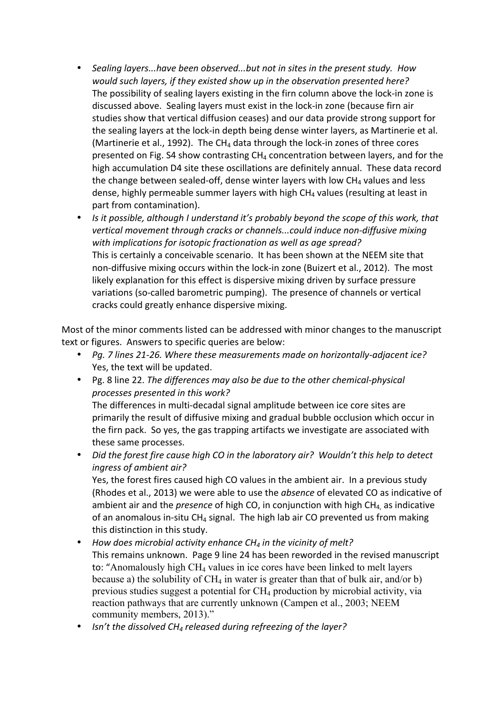- Sealing layers...have been observed...but not in sites in the present study. How *would such layers, if they existed show up in the observation presented here?* The possibility of sealing layers existing in the firn column above the lock-in zone is discussed above. Sealing layers must exist in the lock-in zone (because firn air studies show that vertical diffusion ceases) and our data provide strong support for the sealing layers at the lock-in depth being dense winter layers, as Martinerie et al. (Martinerie et al., 1992). The CH<sub>4</sub> data through the lock-in zones of three cores presented on Fig. S4 show contrasting  $CH_4$  concentration between layers, and for the high accumulation D4 site these oscillations are definitely annual. These data record the change between sealed-off, dense winter layers with low  $CH<sub>4</sub>$  values and less dense, highly permeable summer layers with high  $CH<sub>4</sub>$  values (resulting at least in part from contamination).
- Is it possible, although I understand it's probably beyond the scope of this work, that vertical movement through cracks or channels...could induce non-diffusive mixing with implications for isotopic fractionation as well as age spread? This is certainly a conceivable scenario. It has been shown at the NEEM site that non-diffusive mixing occurs within the lock-in zone (Buizert et al., 2012). The most likely explanation for this effect is dispersive mixing driven by surface pressure variations (so-called barometric pumping). The presence of channels or vertical cracks could greatly enhance dispersive mixing.

Most of the minor comments listed can be addressed with minor changes to the manuscript text or figures. Answers to specific queries are below:

- Pg. 7 lines 21-26. Where these measurements made on horizontally-adjacent ice? Yes, the text will be updated.
- Pg. 8 line 22. *The differences may also be due to the other chemical-physical processes presented in this work?* The differences in multi-decadal signal amplitude between ice core sites are primarily the result of diffusive mixing and gradual bubble occlusion which occur in

the firn pack. So yes, the gas trapping artifacts we investigate are associated with these same processes.

• Did the forest fire cause high CO in the laboratory air? Wouldn't this help to detect *ingress of ambient air?* Yes, the forest fires caused high CO values in the ambient air. In a previous study

(Rhodes et al., 2013) we were able to use the *absence* of elevated CO as indicative of ambient air and the *presence* of high CO, in conjunction with high  $CH<sub>4</sub>$  as indicative of an anomalous in-situ CH<sub>4</sub> signal. The high lab air CO prevented us from making this distinction in this study.

- How does microbial activity enhance CH<sub>4</sub> in the vicinity of melt? This remains unknown. Page 9 line 24 has been reworded in the revised manuscript to: "Anomalously high  $CH<sub>4</sub>$  values in ice cores have been linked to melt layers because a) the solubility of  $CH_4$  in water is greater than that of bulk air, and/or b) previous studies suggest a potential for CH4 production by microbial activity, via reaction pathways that are currently unknown (Campen et al., 2003; NEEM community members, 2013)."
- *Isn't the dissolved CH<sub>4</sub> released during refreezing of the layer?*